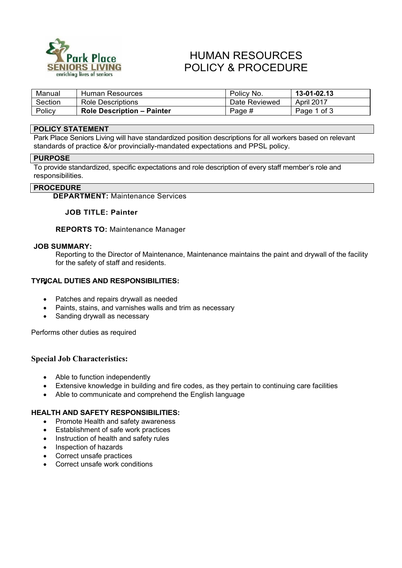

# HUMAN RESOURCES POLICY & PROCEDURE

| Manual  | Human Resources                   | Policy No.    | 13-01-02.13       |
|---------|-----------------------------------|---------------|-------------------|
| Section | Role Descriptions                 | Date Reviewed | <b>April 2017</b> |
| Policy  | <b>Role Description - Painter</b> | Page #        | Page 1 of 3       |

# **POLICY STATEMENT**

Park Place Seniors Living will have standardized position descriptions for all workers based on relevant standards of practice &/or provincially-mandated expectations and PPSL policy.

#### **PURPOSE**

To provide standardized, specific expectations and role description of every staff member's role and responsibilities.

#### **PROCEDURE**

**DEPARTMENT:** Maintenance Services

#### **JOB TITLE: Painter**

**REPORTS TO:** Maintenance Manager

#### **JOB SUMMARY:**

Reporting to the Director of Maintenance, Maintenance maintains the paint and drywall of the facility for the safety of staff and residents.

# **TYPICAL DUTIES AND RESPONSIBILITIES:** •

- Patches and repairs drywall as needed
- Paints, stains, and varnishes walls and trim as necessary
- Sanding drywall as necessary

Performs other duties as required

# **Special Job Characteristics:**

- Able to function independently
- Extensive knowledge in building and fire codes, as they pertain to continuing care facilities
- Able to communicate and comprehend the English language

#### **HEALTH AND SAFETY RESPONSIBILITIES:**

- Promote Health and safety awareness
- Establishment of safe work practices
- Instruction of health and safety rules
- Inspection of hazards
- Correct unsafe practices
- Correct unsafe work conditions